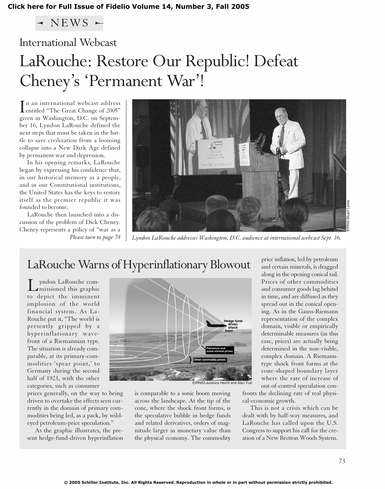### **[Click here for Full Issue of Fidelio Volume 14, Number 3, Fall 2005](http://schillerinstitute.org/fidelio_archive/2005/fidv14n03-2005Fa/index.html)**

 $\triangleleft$  NEWS  $\in$ 

# International Webcast

# LaRouche: Restore Our Republic! Defeat Cheney's 'Permanent War'!

In an international webcast address<br>
entitled "The Great Change of 2005" entitled "The Great Change of 2005" given in Washington, D.C. on September 16, Lyndon LaRouche defined the next steps that must be taken in the battle to save civilization from a looming collapse into a New Dark Age defined by permanent war and depression.

In his opening remarks, LaRouche began by expressing his confidence that, in our historical memory as a people, and in our Constitutional institutions, the United States has the keys to restore itself as the premier republic it was founded to become.

LaRouche then launched into a discussion of the problem of Dick Cheney. Cheney represents a policy of "war as a *Please turn to page 74*



*Lyndon LaRouche addresses Washington, D.C. audience at international webcast Sept. 16.*

# LaRouche Warns of Hyperinflationary Blowout

Lyndon LaRouche com-missioned this graphic to depict the imminent implosion of the world financial system. As La-Rouche put it, "The world is presently gripped by a hyperinflationary wavefront of a Riemannian type. The situation is already comparable, at its primary-commodities 'spear point,' to Germany during the second half of 1923, with the other categories, such as consumer

prices generally, on the way to being driven to overtake the effects seen currently in the domain of primary commodities being led, as a pack, by wildeyed petroleum-price speculation."

As the graphic illustrates, the present hedge-fund-driven hyperinflation



is comparable to a sonic boom moving across the landscape. At the tip of the cone, where the shock front forms, is the speculative bubble in hedge funds and related derivatives, orders of magnitude larger in monetary value than the physical economy. The commodity

price inflation, led by petroleum and certain minerals, is dragged along in the opening conical tail. Prices of other commodities and consumer goods lag behind in time, and are diffused as they spread out in the conical opening. As in the Gauss-Riemann representation of the complex domain, visible or empirically determinable measures (in this case, prices) are actually being determined in the non-visible, complex domain. A Riemanntype shock front forms at the cone-shaped boundary layer where the rate of increase of out-of-control speculation con-

fronts the declining rate of real physical-economic growth.

This is not a crisis which can be dealt with by half-way measures, and LaRouche has called upon the U.S. Congress to support his call for the creation of a New Bretton Woods System.